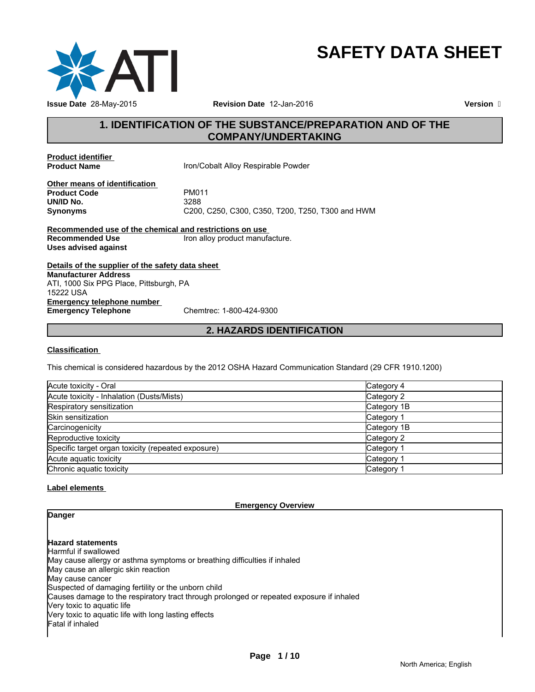

# **SAFETY DATA SHEET**

**Revision Date** 12-Jan-2016

**Version** 

# **1. IDENTIFICATION OF THE SUBSTANCE/PREPARATION AND OF THE COMPANY/UNDERTAKING**

**Product identifier** 

**Product Name Iron/Cobalt Alloy Respirable Powder** 

**Other means of identification Product Code** PM011 **UN/ID No.**<br>Synonyms

**Synonyms** C200, C250, C300, C350, T200, T250, T300 and HWM

**Recommended use of the chemical and restrictions on use Recommended Use** Iron alloy product manufacture. **Uses advised against**

**Details of the supplier of the safety data sheet Emergency telephone number<br>
Emergency Telephone** Chemtrec: 1-800-424-9300 **Emergency Telephone Manufacturer Address** ATI, 1000 Six PPG Place, Pittsburgh, PA 15222 USA

# **2. HAZARDS IDENTIFICATION**

# **Classification**

This chemical is considered hazardous by the 2012 OSHA Hazard Communication Standard (29 CFR 1910.1200)

| Acute toxicity - Oral                              | Category 4  |
|----------------------------------------------------|-------------|
| Acute toxicity - Inhalation (Dusts/Mists)          | Category 2  |
| Respiratory sensitization                          | Category 1B |
| Skin sensitization                                 | Category 1  |
| Carcinogenicity                                    | Category 1B |
| Reproductive toxicity                              | Category 2  |
| Specific target organ toxicity (repeated exposure) | Category 1  |
| Acute aquatic toxicity                             | Category 1  |
| Chronic aquatic toxicity                           | Category 1  |

# **Label elements**

**Danger**

**Emergency Overview**

**Hazard statements**

Harmful if swallowed May cause allergy or asthma symptoms or breathing difficulties if inhaled May cause an allergic skin reaction May cause cancer Suspected of damaging fertility or the unborn child Causes damage to the respiratory tract through prolonged or repeated exposure if inhaled Very toxic to aquatic life Very toxic to aquatic life with long lasting effects Fatal if inhaled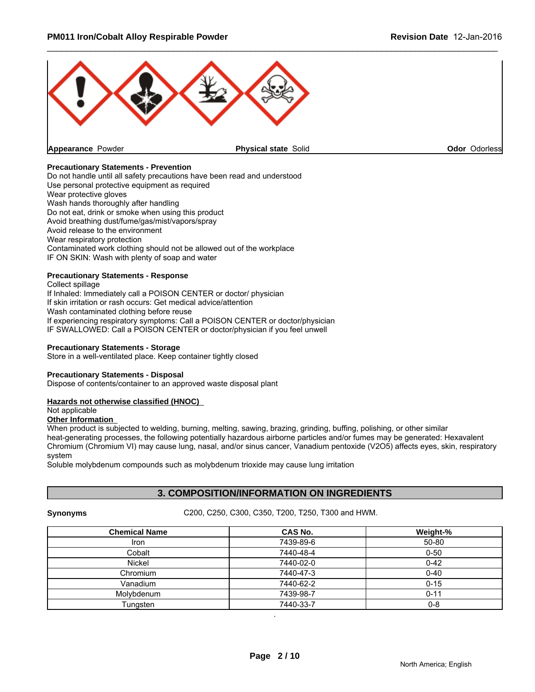

# **Precautionary Statements - Prevention**

Do not handle until all safety precautions have been read and understood Use personal protective equipment as required Wear protective gloves Wash hands thoroughly after handling Do not eat, drink or smoke when using this product Avoid breathing dust/fume/gas/mist/vapors/spray Avoid release to the environment Wear respiratory protection Contaminated work clothing should not be allowed out of the workplace IF ON SKIN: Wash with plenty of soap and water

# **Precautionary Statements - Response**

Collect spillage If Inhaled: Immediately call a POISON CENTER or doctor/ physician If skin irritation or rash occurs: Get medical advice/attention Wash contaminated clothing before reuse If experiencing respiratory symptoms: Call a POISON CENTER or doctor/physician IF SWALLOWED: Call a POISON CENTER or doctor/physician if you feel unwell

#### **Precautionary Statements - Storage**

Store in a well-ventilated place. Keep container tightly closed

#### **Precautionary Statements - Disposal**

Dispose of contents/container to an approved waste disposal plant

#### **Hazards not otherwise classified (HNOC)**

Not applicable

# **Other Information**

When product is subjected to welding, burning, melting, sawing, brazing, grinding, buffing, polishing, or other similar heat-generating processes, the following potentially hazardous airborne particles and/or fumes may be generated: Hexavalent Chromium (Chromium VI) may cause lung, nasal, and/or sinus cancer, Vanadium pentoxide (V2O5) affects eyes, skin, respiratory system

Soluble molybdenum compounds such as molybdenum trioxide may cause lung irritation

# **3. COMPOSITION/INFORMATION ON INGREDIENTS**

**Synonyms** C200, C250, C300, C350, T200, T250, T300 and HWM.

| <b>Chemical Name</b> | <b>CAS No.</b> | Weight-% |
|----------------------|----------------|----------|
| <b>Iron</b>          | 7439-89-6      | 50-80    |
| Cobalt               | 7440-48-4      | $0 - 50$ |
| <b>Nickel</b>        | 7440-02-0      | $0 - 42$ |
| Chromium             | 7440-47-3      | $0 - 40$ |
| Vanadium             | 7440-62-2      | $0 - 15$ |
| Molvbdenum           | 7439-98-7      | $0 - 11$ |
| Tungsten             | 7440-33-7      | $0 - 8$  |

.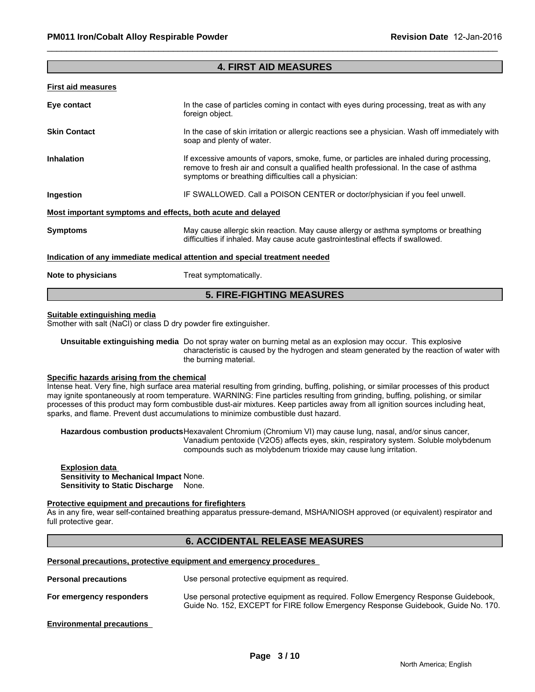# **4. FIRST AID MEASURES**

\_\_\_\_\_\_\_\_\_\_\_\_\_\_\_\_\_\_\_\_\_\_\_\_\_\_\_\_\_\_\_\_\_\_\_\_\_\_\_\_\_\_\_\_\_\_\_\_\_\_\_\_\_\_\_\_\_\_\_\_\_\_\_\_\_\_\_\_\_\_\_\_\_\_\_\_\_\_\_\_\_\_\_\_\_\_\_\_\_\_\_\_\_

#### **First aid measures**

| Eye contact                                                 | In the case of particles coming in contact with eyes during processing, treat as with any<br>foreign object.                                                                                                                               |
|-------------------------------------------------------------|--------------------------------------------------------------------------------------------------------------------------------------------------------------------------------------------------------------------------------------------|
| <b>Skin Contact</b>                                         | In the case of skin irritation or allergic reactions see a physician. Wash off immediately with<br>soap and plenty of water.                                                                                                               |
| <b>Inhalation</b>                                           | If excessive amounts of vapors, smoke, fume, or particles are inhaled during processing,<br>remove to fresh air and consult a qualified health professional. In the case of asthma<br>symptoms or breathing difficulties call a physician: |
| Ingestion                                                   | IF SWALLOWED. Call a POISON CENTER or doctor/physician if you feel unwell.                                                                                                                                                                 |
| Most important symptoms and effects, both acute and delayed |                                                                                                                                                                                                                                            |
| <b>Symptoms</b>                                             | May cause allergic skin reaction. May cause allergy or asthma symptoms or breathing<br>difficulties if inhaled. May cause acute gastrointestinal effects if swallowed.                                                                     |
|                                                             | Indication of any immediate medical attention and special treatment needed                                                                                                                                                                 |
| Note to physicians                                          | Treat symptomatically.                                                                                                                                                                                                                     |
|                                                             |                                                                                                                                                                                                                                            |

# **5. FIRE-FIGHTING MEASURES**

#### **Suitable extinguishing media**

Smother with salt (NaCl) or class D dry powder fire extinguisher.

**Unsuitable extinguishing media** Do not spray water on burning metal as an explosion may occur. This explosive characteristic is caused by the hydrogen and steam generated by the reaction of water with the burning material.

# **Specific hazards arising from the chemical**

Intense heat. Very fine, high surface area material resulting from grinding, buffing, polishing, or similar processes of this product may ignite spontaneously at room temperature. WARNING: Fine particles resulting from grinding, buffing, polishing, or similar processes of this product may form combustible dust-air mixtures. Keep particles away from all ignition sources including heat, sparks, and flame. Prevent dust accumulations to minimize combustible dust hazard.

**Hazardous combustion products**Hexavalent Chromium (Chromium VI) may cause lung, nasal, and/or sinus cancer, Vanadium pentoxide (V2O5) affects eyes, skin, respiratory system. Soluble molybdenum compounds such as molybdenum trioxide may cause lung irritation.

#### **Explosion data Sensitivity to Mechanical Impact** None. **Sensitivity to Static Discharge** None.

#### **Protective equipment and precautions for firefighters**

As in any fire, wear self-contained breathing apparatus pressure-demand, MSHA/NIOSH approved (or equivalent) respirator and full protective gear.

# **6. ACCIDENTAL RELEASE MEASURES**

# **Personal precautions, protective equipment and emergency procedures**

| <b>Personal precautions</b> | Use personal protective equipment as required.                                                                                                                            |
|-----------------------------|---------------------------------------------------------------------------------------------------------------------------------------------------------------------------|
| For emergency responders    | Use personal protective equipment as required. Follow Emergency Response Guidebook,<br>Guide No. 152, EXCEPT for FIRE follow Emergency Response Guidebook, Guide No. 170. |

#### **Environmental precautions**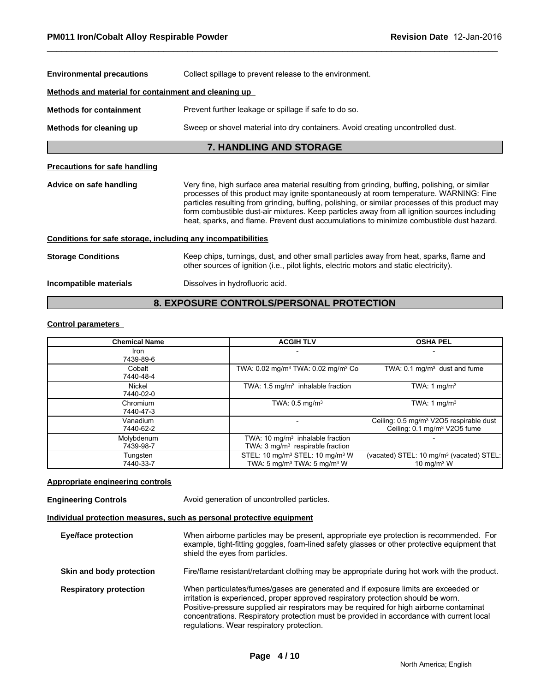| <b>Environmental precautions</b>                             | Collect spillage to prevent release to the environment.                                                                                                                                                                                                                                                                                                                                                                                                                              |  |  |
|--------------------------------------------------------------|--------------------------------------------------------------------------------------------------------------------------------------------------------------------------------------------------------------------------------------------------------------------------------------------------------------------------------------------------------------------------------------------------------------------------------------------------------------------------------------|--|--|
| Methods and material for containment and cleaning up         |                                                                                                                                                                                                                                                                                                                                                                                                                                                                                      |  |  |
| <b>Methods for containment</b>                               | Prevent further leakage or spillage if safe to do so.                                                                                                                                                                                                                                                                                                                                                                                                                                |  |  |
| Methods for cleaning up                                      | Sweep or shovel material into dry containers. Avoid creating uncontrolled dust.                                                                                                                                                                                                                                                                                                                                                                                                      |  |  |
|                                                              | <b>7. HANDLING AND STORAGE</b>                                                                                                                                                                                                                                                                                                                                                                                                                                                       |  |  |
| <b>Precautions for safe handling</b>                         |                                                                                                                                                                                                                                                                                                                                                                                                                                                                                      |  |  |
| Advice on safe handling                                      | Very fine, high surface area material resulting from grinding, buffing, polishing, or similar<br>processes of this product may ignite spontaneously at room temperature. WARNING: Fine<br>particles resulting from grinding, buffing, polishing, or similar processes of this product may<br>form combustible dust-air mixtures. Keep particles away from all ignition sources including<br>heat, sparks, and flame. Prevent dust accumulations to minimize combustible dust hazard. |  |  |
| Conditions for safe storage, including any incompatibilities |                                                                                                                                                                                                                                                                                                                                                                                                                                                                                      |  |  |
| <b>Storage Conditions</b>                                    | Keep chips, turnings, dust, and other small particles away from heat, sparks, flame and<br>other sources of ignition (i.e., pilot lights, electric motors and static electricity).                                                                                                                                                                                                                                                                                                   |  |  |
| Incompatible materials                                       | Dissolves in hydrofluoric acid.                                                                                                                                                                                                                                                                                                                                                                                                                                                      |  |  |
|                                                              |                                                                                                                                                                                                                                                                                                                                                                                                                                                                                      |  |  |

\_\_\_\_\_\_\_\_\_\_\_\_\_\_\_\_\_\_\_\_\_\_\_\_\_\_\_\_\_\_\_\_\_\_\_\_\_\_\_\_\_\_\_\_\_\_\_\_\_\_\_\_\_\_\_\_\_\_\_\_\_\_\_\_\_\_\_\_\_\_\_\_\_\_\_\_\_\_\_\_\_\_\_\_\_\_\_\_\_\_\_\_\_

# **8. EXPOSURE CONTROLS/PERSONAL PROTECTION**

# **Control parameters**

| <b>Chemical Name</b>    | <b>ACGIH TLV</b>                                                                                             | <b>OSHA PEL</b>                                                                                 |  |
|-------------------------|--------------------------------------------------------------------------------------------------------------|-------------------------------------------------------------------------------------------------|--|
| Iron<br>7439-89-6       |                                                                                                              |                                                                                                 |  |
| Cobalt<br>7440-48-4     | TWA: 0.02 mg/m <sup>3</sup> TWA: 0.02 mg/m <sup>3</sup> Co                                                   | TWA: $0.1 \text{ mg/m}^3$ dust and fume                                                         |  |
| Nickel<br>7440-02-0     | TWA: $1.5 \text{ mg/m}^3$ inhalable fraction                                                                 | TWA: 1 mg/m <sup>3</sup>                                                                        |  |
| Chromium<br>7440-47-3   | TWA: $0.5$ mg/m <sup>3</sup>                                                                                 | TWA: 1 $mq/m3$                                                                                  |  |
| Vanadium<br>7440-62-2   |                                                                                                              | Ceiling: 0.5 mg/m <sup>3</sup> V2O5 respirable dust<br>Ceiling: 0.1 mg/m <sup>3</sup> V2O5 fume |  |
| Molybdenum<br>7439-98-7 | TWA: $10 \text{ mg/m}^3$ inhalable fraction<br>TWA: $3 \text{ mg/m}^3$ respirable fraction                   |                                                                                                 |  |
| Tungsten<br>7440-33-7   | STEL: 10 mg/m <sup>3</sup> STEL: 10 mg/m <sup>3</sup> W<br>TWA: $5 \text{ mg/m}^3$ TWA: $5 \text{ mg/m}^3$ W | (vacated) STEL: 10 mg/m <sup>3</sup> (vacated) STEL:<br>10 mg/m $3 \text{ W}$                   |  |

# **Appropriate engineering controls**

| <b>Engineering Controls</b>   | Avoid generation of uncontrolled particles.                                                                                                                                                                                                                                                                                                                                                                 |
|-------------------------------|-------------------------------------------------------------------------------------------------------------------------------------------------------------------------------------------------------------------------------------------------------------------------------------------------------------------------------------------------------------------------------------------------------------|
|                               | Individual protection measures, such as personal protective equipment                                                                                                                                                                                                                                                                                                                                       |
| <b>Eye/face protection</b>    | When airborne particles may be present, appropriate eye protection is recommended. For<br>example, tight-fitting goggles, foam-lined safety glasses or other protective equipment that<br>shield the eyes from particles.                                                                                                                                                                                   |
| Skin and body protection      | Fire/flame resistant/retardant clothing may be appropriate during hot work with the product.                                                                                                                                                                                                                                                                                                                |
| <b>Respiratory protection</b> | When particulates/fumes/gases are generated and if exposure limits are exceeded or<br>irritation is experienced, proper approved respiratory protection should be worn.<br>Positive-pressure supplied air respirators may be required for high airborne contaminat<br>concentrations. Respiratory protection must be provided in accordance with current local<br>regulations. Wear respiratory protection. |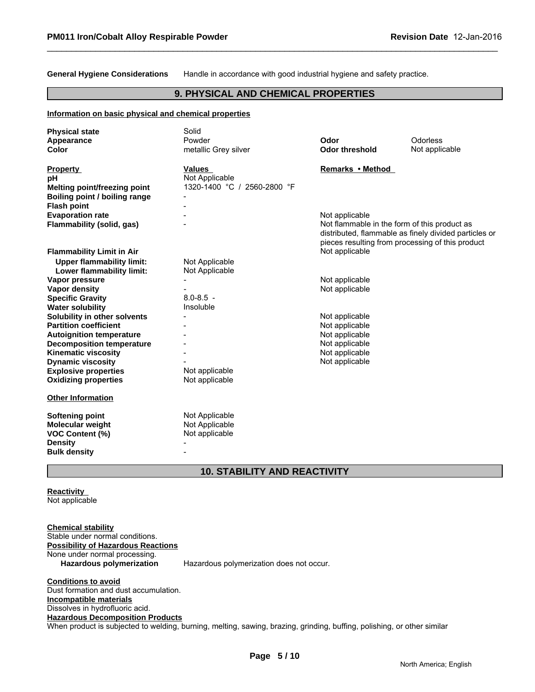**General Hygiene Considerations** Handle in accordance with good industrial hygiene and safety practice.

\_\_\_\_\_\_\_\_\_\_\_\_\_\_\_\_\_\_\_\_\_\_\_\_\_\_\_\_\_\_\_\_\_\_\_\_\_\_\_\_\_\_\_\_\_\_\_\_\_\_\_\_\_\_\_\_\_\_\_\_\_\_\_\_\_\_\_\_\_\_\_\_\_\_\_\_\_\_\_\_\_\_\_\_\_\_\_\_\_\_\_\_\_

# **9. PHYSICAL AND CHEMICAL PROPERTIES**

#### **Information on basic physical and chemical properties**

| <b>Physical state</b>               | Solid                       |                                              |                                                       |
|-------------------------------------|-----------------------------|----------------------------------------------|-------------------------------------------------------|
| Appearance                          | Powder                      | Odor                                         | Odorless                                              |
| Color                               | metallic Grey silver        | <b>Odor threshold</b>                        | Not applicable                                        |
| <b>Property</b>                     | <b>Values</b>               | Remarks • Method                             |                                                       |
| рH                                  | Not Applicable              |                                              |                                                       |
| <b>Melting point/freezing point</b> | 1320-1400 °C / 2560-2800 °F |                                              |                                                       |
| Boiling point / boiling range       |                             |                                              |                                                       |
| <b>Flash point</b>                  |                             |                                              |                                                       |
| <b>Evaporation rate</b>             |                             | Not applicable                               |                                                       |
| Flammability (solid, gas)           |                             | Not flammable in the form of this product as |                                                       |
|                                     |                             |                                              | distributed, flammable as finely divided particles or |
|                                     |                             |                                              | pieces resulting from processing of this product      |
| <b>Flammability Limit in Air</b>    |                             | Not applicable                               |                                                       |
| <b>Upper flammability limit:</b>    | Not Applicable              |                                              |                                                       |
| Lower flammability limit:           | Not Applicable              |                                              |                                                       |
| Vapor pressure                      |                             | Not applicable                               |                                                       |
| <b>Vapor density</b>                |                             | Not applicable                               |                                                       |
| <b>Specific Gravity</b>             | $8.0 - 8.5 -$               |                                              |                                                       |
| <b>Water solubility</b>             | Insoluble                   |                                              |                                                       |
| Solubility in other solvents        |                             | Not applicable                               |                                                       |
| <b>Partition coefficient</b>        |                             | Not applicable                               |                                                       |
| <b>Autoignition temperature</b>     |                             | Not applicable                               |                                                       |
| <b>Decomposition temperature</b>    |                             | Not applicable                               |                                                       |
| <b>Kinematic viscosity</b>          |                             | Not applicable                               |                                                       |
| <b>Dynamic viscosity</b>            |                             | Not applicable                               |                                                       |
| <b>Explosive properties</b>         | Not applicable              |                                              |                                                       |
| <b>Oxidizing properties</b>         | Not applicable              |                                              |                                                       |
| <b>Other Information</b>            |                             |                                              |                                                       |
| <b>Softening point</b>              | Not Applicable              |                                              |                                                       |
| <b>Molecular weight</b>             | Not Applicable              |                                              |                                                       |
| <b>VOC Content (%)</b>              | Not applicable              |                                              |                                                       |
| <b>Density</b>                      |                             |                                              |                                                       |
| <b>Bulk density</b>                 |                             |                                              |                                                       |
|                                     |                             |                                              |                                                       |

# **10. STABILITY AND REACTIVITY**

# **Reactivity**  Not applicable

**Chemical stability** Stable under normal conditions. **Possibility of Hazardous Reactions** None under normal processing.<br>Hazardous polymerization Hazardous polymerization does not occur.

**Conditions to avoid** Dust formation and dust accumulation. **Incompatible materials** Dissolves in hydrofluoric acid. **Hazardous Decomposition Products** When product is subjected to welding, burning, melting, sawing, brazing, grinding, buffing, polishing, or other similar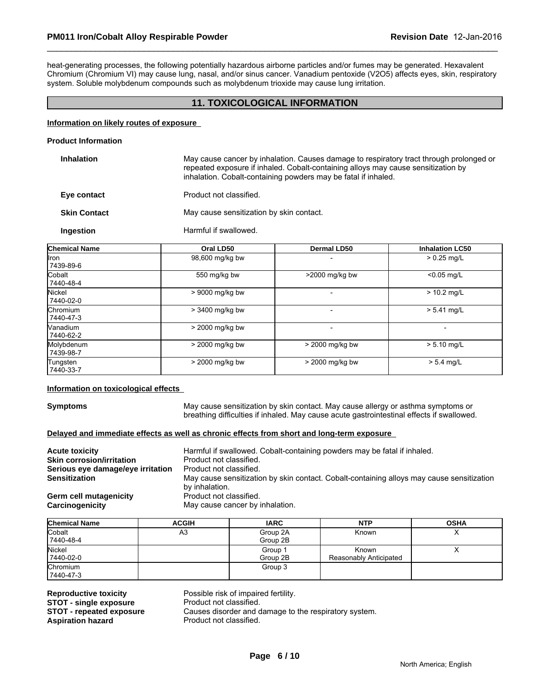heat-generating processes, the following potentially hazardous airborne particles and/or fumes may be generated. Hexavalent Chromium (Chromium VI) may cause lung, nasal, and/or sinus cancer. Vanadium pentoxide (V2O5) affects eyes, skin, respiratory system. Soluble molybdenum compounds such as molybdenum trioxide may cause lung irritation.

\_\_\_\_\_\_\_\_\_\_\_\_\_\_\_\_\_\_\_\_\_\_\_\_\_\_\_\_\_\_\_\_\_\_\_\_\_\_\_\_\_\_\_\_\_\_\_\_\_\_\_\_\_\_\_\_\_\_\_\_\_\_\_\_\_\_\_\_\_\_\_\_\_\_\_\_\_\_\_\_\_\_\_\_\_\_\_\_\_\_\_\_\_

# **11. TOXICOLOGICAL INFORMATION**

#### **Information on likely routes of exposure**

#### **Product Information**

| <b>Inhalation</b>   | May cause cancer by inhalation. Causes damage to respiratory tract through prolonged or<br>repeated exposure if inhaled. Cobalt-containing alloys may cause sensitization by<br>inhalation. Cobalt-containing powders may be fatal if inhaled. |
|---------------------|------------------------------------------------------------------------------------------------------------------------------------------------------------------------------------------------------------------------------------------------|
| Eye contact         | Product not classified.                                                                                                                                                                                                                        |
| <b>Skin Contact</b> | May cause sensitization by skin contact.                                                                                                                                                                                                       |
| Ingestion           | Harmful if swallowed.                                                                                                                                                                                                                          |

| <b>Chemical Name</b>    | Oral LD50       | <b>Dermal LD50</b> | <b>Inhalation LC50</b> |
|-------------------------|-----------------|--------------------|------------------------|
| llron.<br>7439-89-6     | 98,600 mg/kg bw |                    | $> 0.25$ mg/L          |
| Cobalt<br>7440-48-4     | 550 mg/kg bw    | $>$ 2000 mg/kg bw  | $< 0.05$ mg/L          |
| Nickel<br>7440-02-0     | > 9000 mg/kg bw |                    | $> 10.2$ mg/L          |
| Chromium<br>7440-47-3   | > 3400 mg/kg bw |                    | $> 5.41$ mg/L          |
| Vanadium<br>7440-62-2   | > 2000 mg/kg bw |                    |                        |
| Molybdenum<br>7439-98-7 | > 2000 mg/kg bw | > 2000 mg/kg bw    | $> 5.10$ mg/L          |
| Tungsten<br>7440-33-7   | > 2000 mg/kg bw | > 2000 mg/kg bw    | $> 5.4$ mg/L           |

# **Information on toxicological effects**

**Symptoms** May cause sensitization by skin contact. May cause allergy or asthma symptoms or breathing difficulties if inhaled. May cause acute gastrointestinal effects if swallowed.

# **Delayed and immediate effects as well as chronic effects from short and long-term exposure**

| <b>Acute toxicity</b>             | Harmful if swallowed. Cobalt-containing powders may be fatal if inhaled.                  |
|-----------------------------------|-------------------------------------------------------------------------------------------|
| <b>Skin corrosion/irritation</b>  | Product not classified.                                                                   |
| Serious eye damage/eye irritation | Product not classified.                                                                   |
| <b>Sensitization</b>              | May cause sensitization by skin contact. Cobalt-containing alloys may cause sensitization |
|                                   | by inhalation.                                                                            |
| Germ cell mutagenicity            | Product not classified.                                                                   |
| Carcinogenicity                   | May cause cancer by inhalation.                                                           |
|                                   |                                                                                           |

| <b>Chemical Name</b>   | <b>ACGIH</b> | <b>IARC</b>          | <b>NTP</b>                      | <b>OSHA</b> |
|------------------------|--------------|----------------------|---------------------------------|-------------|
| Cobalt<br>7440-48-4    | A3           | Group 2A<br>Group 2B | Known                           | ↗           |
| Nickel<br>7440-02-0    |              | Group 1<br>Group 2B  | Known<br>Reasonably Anticipated |             |
| Chromium<br>17440-47-3 |              | Group 3              |                                 |             |

**Reproductive toxicity Possible risk of impaired fertility.**<br>**STOT - single exposure Product not classified. STOT - single exposure<br>STOT - repeated exposure STOT - repeated exposure** Causes disorder and damage to the respiratory system.<br>**Aspiration hazard** Product not classified.

Product not classified.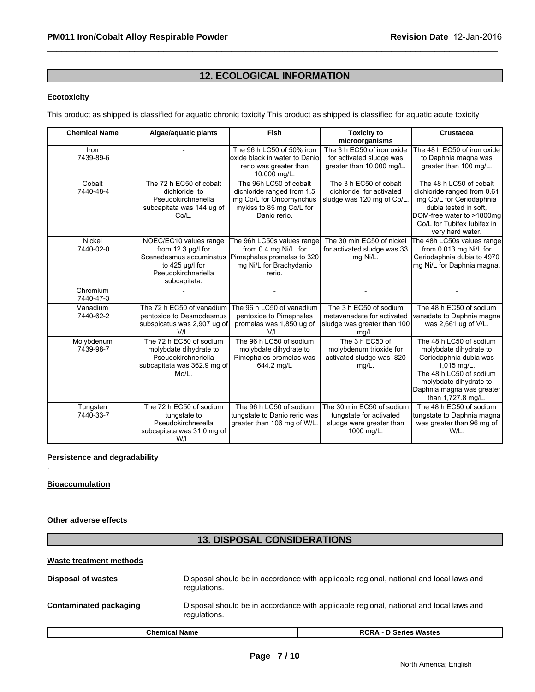# **12. ECOLOGICAL INFORMATION**

\_\_\_\_\_\_\_\_\_\_\_\_\_\_\_\_\_\_\_\_\_\_\_\_\_\_\_\_\_\_\_\_\_\_\_\_\_\_\_\_\_\_\_\_\_\_\_\_\_\_\_\_\_\_\_\_\_\_\_\_\_\_\_\_\_\_\_\_\_\_\_\_\_\_\_\_\_\_\_\_\_\_\_\_\_\_\_\_\_\_\_\_\_

# **Ecotoxicity**

This product as shipped is classified for aquatic chronic toxicity This product as shipped is classified for aquatic acute toxicity

| <b>Chemical Name</b>     | Algae/aquatic plants                                                                                                                        | Fish                                                                                                                         | <b>Toxicity to</b><br>microorganisms                                                           | <b>Crustacea</b>                                                                                                                                                                                   |
|--------------------------|---------------------------------------------------------------------------------------------------------------------------------------------|------------------------------------------------------------------------------------------------------------------------------|------------------------------------------------------------------------------------------------|----------------------------------------------------------------------------------------------------------------------------------------------------------------------------------------------------|
| <b>Iron</b><br>7439-89-6 |                                                                                                                                             | The 96 h LC50 of 50% iron<br>loxide black in water to Danio<br>rerio was greater than<br>10,000 mg/L.                        | The 3 h EC50 of iron oxide<br>for activated sludge was<br>greater than 10,000 mg/L.            | The 48 h EC50 of iron oxide<br>to Daphnia magna was<br>greater than 100 mg/L.                                                                                                                      |
| Cobalt<br>7440-48-4      | The 72 h EC50 of cobalt<br>dichloride to<br>Pseudokirchneriella<br>subcapitata was 144 ug of<br>Co/L.                                       | The 96h LC50 of cobalt<br>dichloride ranged from 1.5<br>mg Co/L for Oncorhynchus<br>mykiss to 85 mg Co/L for<br>Danio rerio. | The 3 h EC50 of cobalt<br>dichloride for activated<br>sludge was 120 mg of Co/L.               | The 48 h LC50 of cobalt<br>dichloride ranged from 0.61<br>mg Co/L for Ceriodaphnia<br>dubia tested in soft.<br>DOM-free water to >1800mg<br>Co/L for Tubifex tubifex in<br>very hard water.        |
| Nickel<br>7440-02-0      | NOEC/EC10 values range<br>from $12.3 \mu g/l$ for<br>Scenedesmus accuminatus<br>to $425 \mu g/l$ for<br>Pseudokirchneriella<br>subcapitata. | The 96h LC50s values range<br>from 0.4 mg Ni/L for<br>Pimephales promelas to 320<br>mg Ni/L for Brachydanio<br>rerio.        | The 30 min EC50 of nickel<br>for activated sludge was 33<br>mg Ni/L.                           | The 48h LC50s values range<br>from 0.013 mg Ni/L for<br>Ceriodaphnia dubia to 4970<br>mg Ni/L for Daphnia magna.                                                                                   |
| Chromium<br>7440-47-3    |                                                                                                                                             |                                                                                                                              |                                                                                                |                                                                                                                                                                                                    |
| Vanadium<br>7440-62-2    | The 72 h EC50 of vanadium<br>pentoxide to Desmodesmus<br>subspicatus was 2,907 ug of<br>$V/L$ .                                             | The 96 h LC50 of vanadium<br>pentoxide to Pimephales<br>promelas was 1,850 ug of<br>$V/L$ .                                  | The 3 h EC50 of sodium<br>metavanadate for activated<br>sludge was greater than 100<br>mg/L.   | The 48 h EC50 of sodium<br>vanadate to Daphnia magna<br>was 2,661 ug of V/L.                                                                                                                       |
| Molybdenum<br>7439-98-7  | The 72 h EC50 of sodium<br>molybdate dihydrate to<br>Pseudokirchneriella<br>subcapitata was 362.9 mg of<br>Mo/L.                            | The 96 h LC50 of sodium<br>molybdate dihydrate to<br>Pimephales promelas was<br>644.2 mg/L                                   | The 3 h EC50 of<br>molybdenum trioxide for<br>activated sludge was 820<br>$mg/L$ .             | The 48 h LC50 of sodium<br>molybdate dihydrate to<br>Ceriodaphnia dubia was<br>1,015 mg/L.<br>The 48 h LC50 of sodium<br>molybdate dihydrate to<br>Daphnia magna was greater<br>than 1,727.8 mg/L. |
| Tungsten<br>7440-33-7    | The 72 h EC50 of sodium<br>tungstate to<br>Pseudokirchnerella<br>subcapitata was 31.0 mg of<br>W/L.                                         | The 96 h LC50 of sodium<br>tungstate to Danio rerio was<br>greater than 106 mg of W/L.                                       | The 30 min EC50 of sodium<br>tungstate for activated<br>sludge were greater than<br>1000 mg/L. | The 48 h EC50 of sodium<br>tungstate to Daphnia magna<br>was greater than 96 mg of<br>W/L.                                                                                                         |

# **Persistence and degradability**

#### **Bioaccumulation**

.

.

# **Other adverse effects**

# **13. DISPOSAL CONSIDERATIONS**

#### **Waste treatment methods**

| <b>Disposal of wastes</b> | regulations.         | Disposal should be in accordance with applicable regional, national and local laws and |
|---------------------------|----------------------|----------------------------------------------------------------------------------------|
| Contaminated packaging    | regulations.         | Disposal should be in accordance with applicable regional, national and local laws and |
|                           | <b>Chemical Name</b> | <b>RCRA - D Series Wastes</b>                                                          |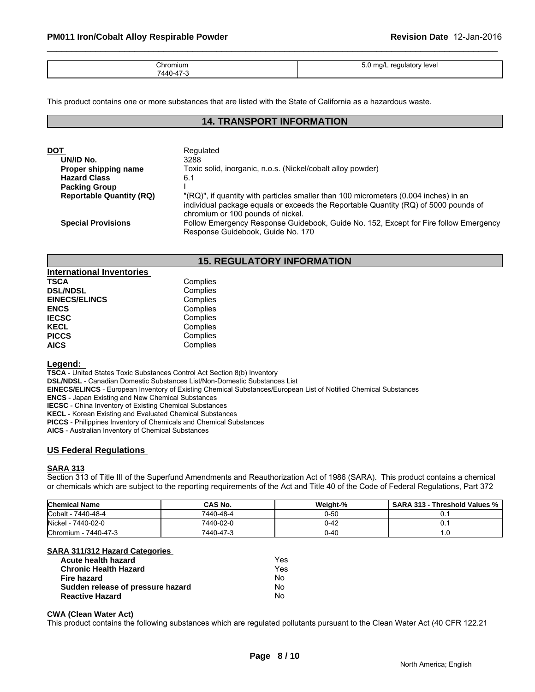| Chromium<br>7440-47 | 5.0<br>ma/L<br>regulatory level |
|---------------------|---------------------------------|

\_\_\_\_\_\_\_\_\_\_\_\_\_\_\_\_\_\_\_\_\_\_\_\_\_\_\_\_\_\_\_\_\_\_\_\_\_\_\_\_\_\_\_\_\_\_\_\_\_\_\_\_\_\_\_\_\_\_\_\_\_\_\_\_\_\_\_\_\_\_\_\_\_\_\_\_\_\_\_\_\_\_\_\_\_\_\_\_\_\_\_\_\_

This product contains one or more substances that are listed with the State of California as a hazardous waste.

# **14. TRANSPORT INFORMATION**

| DOT                             | Regulated                                                                                                                                                                                                        |
|---------------------------------|------------------------------------------------------------------------------------------------------------------------------------------------------------------------------------------------------------------|
| UN/ID No.                       | 3288                                                                                                                                                                                                             |
| Proper shipping name            | Toxic solid, inorganic, n.o.s. (Nickel/cobalt alloy powder)                                                                                                                                                      |
| <b>Hazard Class</b>             | 6.1                                                                                                                                                                                                              |
| <b>Packing Group</b>            |                                                                                                                                                                                                                  |
| <b>Reportable Quantity (RQ)</b> | "(RQ)", if quantity with particles smaller than 100 micrometers (0.004 inches) in an<br>individual package equals or exceeds the Reportable Quantity (RQ) of 5000 pounds of<br>chromium or 100 pounds of nickel. |
| <b>Special Provisions</b>       | Follow Emergency Response Guidebook, Guide No. 152, Except for Fire follow Emergency<br>Response Guidebook, Guide No. 170                                                                                        |

# **15. REGULATORY INFORMATION**

| <b>International Inventories</b> |          |  |
|----------------------------------|----------|--|
| <b>TSCA</b>                      | Complies |  |
| <b>DSL/NDSL</b>                  | Complies |  |
| <b>EINECS/ELINCS</b>             | Complies |  |
| <b>ENCS</b>                      | Complies |  |
| <b>IECSC</b>                     | Complies |  |
| <b>KECL</b>                      | Complies |  |
| <b>PICCS</b>                     | Complies |  |
| <b>AICS</b>                      | Complies |  |

# **Legend:**

**TSCA** - United States Toxic Substances Control Act Section 8(b) Inventory

**DSL/NDSL** - Canadian Domestic Substances List/Non-Domestic Substances List

**EINECS/ELINCS** - European Inventory of Existing Chemical Substances/European List of Notified Chemical Substances

**ENCS** - Japan Existing and New Chemical Substances

**IECSC** - China Inventory of Existing Chemical Substances

**KECL** - Korean Existing and Evaluated Chemical Substances

**PICCS** - Philippines Inventory of Chemicals and Chemical Substances

**AICS** - Australian Inventory of Chemical Substances

# **US Federal Regulations**

# **SARA 313**

Section 313 of Title III of the Superfund Amendments and Reauthorization Act of 1986 (SARA). This product contains a chemical or chemicals which are subject to the reporting requirements of the Act and Title 40 of the Code of Federal Regulations, Part 372

| <b>Chemical Name</b>         | <b>CAS No.</b> | Weight-% | - Threshold Values %<br><b>SARA 313 -</b> |
|------------------------------|----------------|----------|-------------------------------------------|
| Cobalt -<br>$.7440 - 48 - 4$ | 7440-48-4      | 0-50     |                                           |
| Nickel -<br>- 7440-02-0      | 7440-02-0      | 0-42     |                                           |
| Chromium - 7440-47-3         | 7440-47-3      | 0-40     | . . ب                                     |

# **SARA 311/312 Hazard Categories**

| Acute health hazard               | Yes |
|-----------------------------------|-----|
| <b>Chronic Health Hazard</b>      | Yes |
| Fire hazard                       | N٥  |
| Sudden release of pressure hazard | No. |
| <b>Reactive Hazard</b>            | N٥  |

# **CWA (Clean Water Act)**

This product contains the following substances which are regulated pollutants pursuant to the Clean Water Act (40 CFR 122.21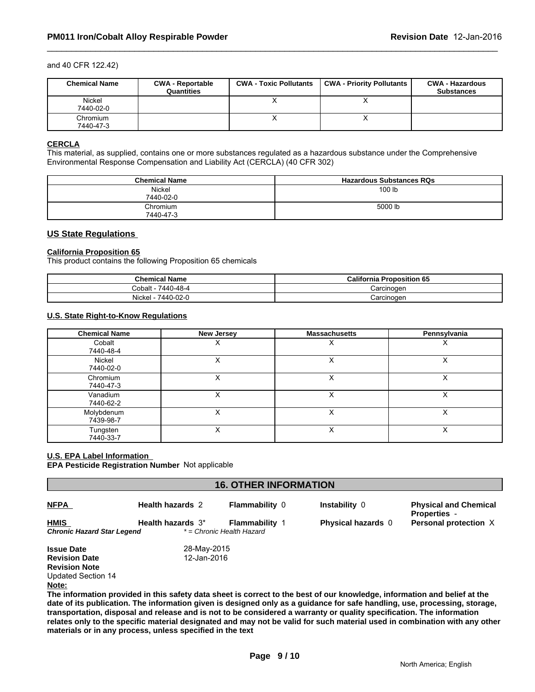#### and 40 CFR 122.42)

| <b>Chemical Name</b>  | <b>CWA - Reportable</b><br>Quantities | <b>CWA - Toxic Pollutants</b> | <b>CWA - Priority Pollutants</b> | <b>CWA - Hazardous</b><br><b>Substances</b> |
|-----------------------|---------------------------------------|-------------------------------|----------------------------------|---------------------------------------------|
| Nickel<br>7440-02-0   |                                       |                               |                                  |                                             |
| Chromium<br>7440-47-3 |                                       |                               | $\lambda$                        |                                             |

\_\_\_\_\_\_\_\_\_\_\_\_\_\_\_\_\_\_\_\_\_\_\_\_\_\_\_\_\_\_\_\_\_\_\_\_\_\_\_\_\_\_\_\_\_\_\_\_\_\_\_\_\_\_\_\_\_\_\_\_\_\_\_\_\_\_\_\_\_\_\_\_\_\_\_\_\_\_\_\_\_\_\_\_\_\_\_\_\_\_\_\_\_

#### **CERCLA**

This material, as supplied, contains one or more substances regulated as a hazardous substance under the Comprehensive Environmental Response Compensation and Liability Act (CERCLA) (40 CFR 302)

| <b>Chemical Name</b>  | <b>Hazardous Substances RQs</b> |
|-----------------------|---------------------------------|
| Nickel<br>7440-02-0   | 100 lb                          |
| Chromium<br>7440-47-3 | 5000 lb                         |

# **US State Regulations**

#### **California Proposition 65**

This product contains the following Proposition 65 chemicals

| <b>Chemical Name</b> | <b>California Proposition 65</b> |
|----------------------|----------------------------------|
| 7440-48-4<br>Cobalt  | Carcinoger                       |
| Nickel<br>7440-02-0  | Carcinogen                       |

# **U.S. State Right-to-Know Regulations**

| <b>Chemical Name</b>    | New Jersey | <b>Massachusetts</b> | Pennsylvania |
|-------------------------|------------|----------------------|--------------|
| Cobalt<br>7440-48-4     |            | ⌒                    | ㅅ            |
| Nickel<br>7440-02-0     |            | v<br>⋏               | х            |
| Chromium<br>7440-47-3   |            |                      | ⋏            |
| Vanadium<br>7440-62-2   |            | ∧                    | v            |
| Molybdenum<br>7439-98-7 |            |                      | ∧            |
| Tungsten<br>7440-33-7   |            | v<br>́               | х            |

#### **U.S. EPA Label Information**

**EPA Pesticide Registration Number** Not applicable

| <b>16. OTHER INFORMATION</b>              |                         |                                                    |                                                                                                                           |                                                     |
|-------------------------------------------|-------------------------|----------------------------------------------------|---------------------------------------------------------------------------------------------------------------------------|-----------------------------------------------------|
| <b>NFPA</b>                               | <b>Health hazards 2</b> | <b>Flammability 0</b>                              | Instability 0                                                                                                             | <b>Physical and Chemical</b><br><b>Properties</b> - |
| <b>HMIS</b><br>Chronic Hazard Star Legend | Health hazards 3*       | <b>Flammability 1</b><br>* = Chronic Health Hazard | <b>Physical hazards</b> 0                                                                                                 | Personal protection X                               |
| <b>Issue Date</b>                         | 28-May-2015             |                                                    |                                                                                                                           |                                                     |
| <b>Revision Date</b>                      | 12-Jan-2016             |                                                    |                                                                                                                           |                                                     |
| <b>Revision Note</b>                      |                         |                                                    |                                                                                                                           |                                                     |
| <b>Updated Section 14</b>                 |                         |                                                    |                                                                                                                           |                                                     |
| Note:                                     |                         |                                                    |                                                                                                                           |                                                     |
|                                           |                         |                                                    | The information provided in this safety data sheet is correct to the best of our knowledge, information and belief at the |                                                     |

**The information provided in this safety data sheet is correct to the best of our knowledge, information and belief at the date of its publication. The information given is designed only as a guidance for safe handling, use, processing, storage, transportation, disposal and release and is not to be considered a warranty or quality specification. The information relates only to the specific material designated and may not be valid for such material used in combination with any other materials or in any process, unless specified in the text**